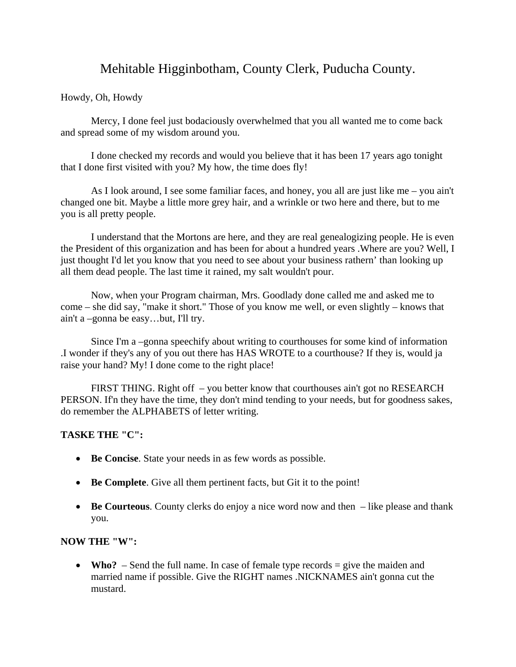## Mehitable Higginbotham, County Clerk, Puducha County.

## Howdy, Oh, Howdy

Mercy, I done feel just bodaciously overwhelmed that you all wanted me to come back and spread some of my wisdom around you.

I done checked my records and would you believe that it has been 17 years ago tonight that I done first visited with you? My how, the time does fly!

As I look around, I see some familiar faces, and honey, you all are just like me – you ain't changed one bit. Maybe a little more grey hair, and a wrinkle or two here and there, but to me you is all pretty people.

 I understand that the Mortons are here, and they are real genealogizing people. He is even the President of this organization and has been for about a hundred years .Where are you? Well, I just thought I'd let you know that you need to see about your business rathern' than looking up all them dead people. The last time it rained, my salt wouldn't pour.

Now, when your Program chairman, Mrs. Goodlady done called me and asked me to come – she did say, "make it short." Those of you know me well, or even slightly – knows that ain't a –gonna be easy…but, I'll try.

Since I'm a –gonna speechify about writing to courthouses for some kind of information .I wonder if they's any of you out there has HAS WROTE to a courthouse? If they is, would ja raise your hand? My! I done come to the right place!

FIRST THING. Right off – you better know that courthouses ain't got no RESEARCH PERSON. If'n they have the time, they don't mind tending to your needs, but for goodness sakes, do remember the ALPHABETS of letter writing.

## **TASKE THE "C":**

- **Be Concise**. State your needs in as few words as possible.
- **Be Complete**. Give all them pertinent facts, but Git it to the point!
- **Be Courteous**. County clerks do enjoy a nice word now and then like please and thank you.

## **NOW THE "W":**

• **Who?** – Send the full name. In case of female type records = give the maiden and married name if possible. Give the RIGHT names .NICKNAMES ain't gonna cut the mustard.